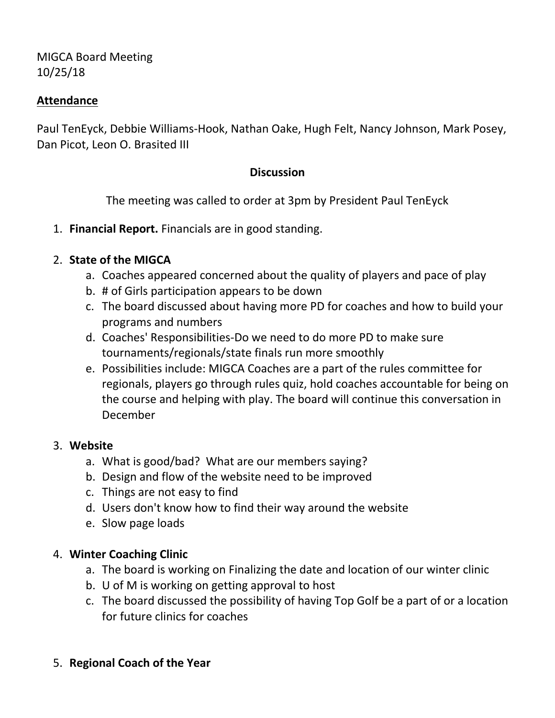MIGCA Board Meeting 10/25/18

### **Attendance**

Paul TenEyck, Debbie Williams-Hook, Nathan Oake, Hugh Felt, Nancy Johnson, Mark Posey, Dan Picot, Leon O. Brasited III

### **Discussion**

The meeting was called to order at 3pm by President Paul TenEyck

1. **Financial Report.** Financials are in good standing.

# 2. **State of the MIGCA**

- a. Coaches appeared concerned about the quality of players and pace of play
- b. # of Girls participation appears to be down
- c. The board discussed about having more PD for coaches and how to build your programs and numbers
- d. Coaches' Responsibilities-Do we need to do more PD to make sure tournaments/regionals/state finals run more smoothly
- e. Possibilities include: MIGCA Coaches are a part of the rules committee for regionals, players go through rules quiz, hold coaches accountable for being on the course and helping with play. The board will continue this conversation in December

#### 3. **Website**

- a. What is good/bad? What are our members saying?
- b. Design and flow of the website need to be improved
- c. Things are not easy to find
- d. Users don't know how to find their way around the website
- e. Slow page loads

# 4. **Winter Coaching Clinic**

- a. The board is working on Finalizing the date and location of our winter clinic
- b. U of M is working on getting approval to host
- c. The board discussed the possibility of having Top Golf be a part of or a location for future clinics for coaches

# 5. **Regional Coach of the Year**